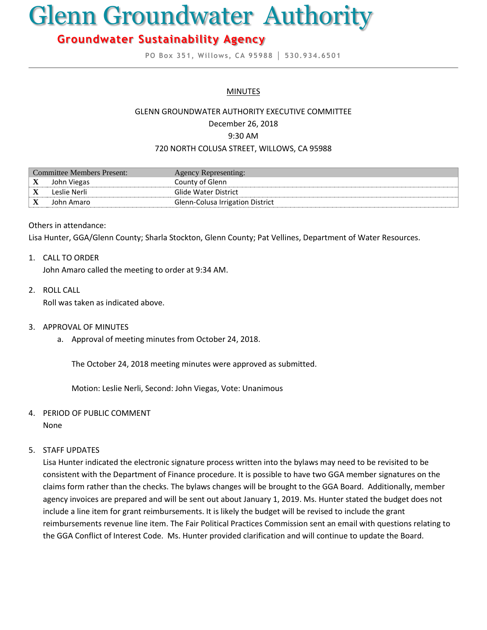# Glenn Groundwater Authority

# **Groundwater Sustainability Agency**

**PO Box 351, Willows, CA 95988 │ 530.934.6501**

# **MINUTES**

#### GLENN GROUNDWATER AUTHORITY EXECUTIVE COMMITTEE

December 26, 2018

9:30 AM

#### 720 NORTH COLUSA STREET, WILLOWS, CA 95988

| Committee Members Present: |              | Agency Representing:             |
|----------------------------|--------------|----------------------------------|
| X                          | John Viegas  | County of Glenn                  |
|                            | Leslie Nerli | Glide Water District             |
|                            | John Amaro   | Glenn-Colusa Irrigation District |

#### Others in attendance:

Lisa Hunter, GGA/Glenn County; Sharla Stockton, Glenn County; Pat Vellines, Department of Water Resources.

# 1. CALL TO ORDER

John Amaro called the meeting to order at 9:34 AM.

2. ROLL CALL

Roll was taken as indicated above.

- 3. APPROVAL OF MINUTES
	- a. Approval of meeting minutes from October 24, 2018.

The October 24, 2018 meeting minutes were approved as submitted.

Motion: Leslie Nerli, Second: John Viegas, Vote: Unanimous

4. PERIOD OF PUBLIC COMMENT

None

# 5. STAFF UPDATES

Lisa Hunter indicated the electronic signature process written into the bylaws may need to be revisited to be consistent with the Department of Finance procedure. It is possible to have two GGA member signatures on the claims form rather than the checks. The bylaws changes will be brought to the GGA Board. Additionally, member agency invoices are prepared and will be sent out about January 1, 2019. Ms. Hunter stated the budget does not include a line item for grant reimbursements. It is likely the budget will be revised to include the grant reimbursements revenue line item. The Fair Political Practices Commission sent an email with questions relating to the GGA Conflict of Interest Code. Ms. Hunter provided clarification and will continue to update the Board.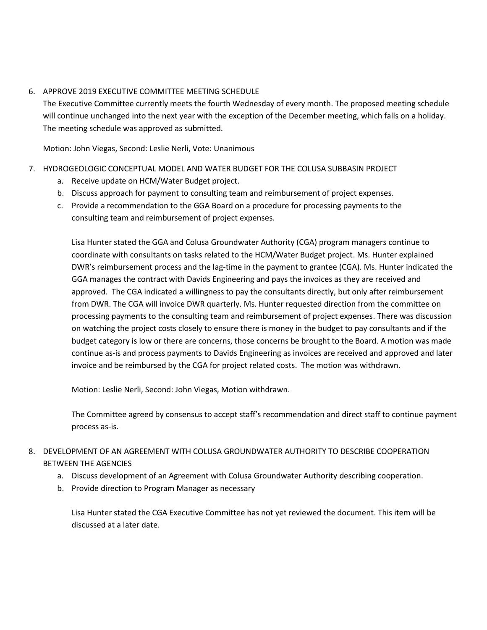# 6. APPROVE 2019 EXECUTIVE COMMITTEE MEETING SCHEDULE

The Executive Committee currently meets the fourth Wednesday of every month. The proposed meeting schedule will continue unchanged into the next year with the exception of the December meeting, which falls on a holiday. The meeting schedule was approved as submitted.

Motion: John Viegas, Second: Leslie Nerli, Vote: Unanimous

# 7. HYDROGEOLOGIC CONCEPTUAL MODEL AND WATER BUDGET FOR THE COLUSA SUBBASIN PROJECT

- a. Receive update on HCM/Water Budget project.
- b. Discuss approach for payment to consulting team and reimbursement of project expenses.
- c. Provide a recommendation to the GGA Board on a procedure for processing payments to the consulting team and reimbursement of project expenses.

Lisa Hunter stated the GGA and Colusa Groundwater Authority (CGA) program managers continue to coordinate with consultants on tasks related to the HCM/Water Budget project. Ms. Hunter explained DWR's reimbursement process and the lag-time in the payment to grantee (CGA). Ms. Hunter indicated the GGA manages the contract with Davids Engineering and pays the invoices as they are received and approved. The CGA indicated a willingness to pay the consultants directly, but only after reimbursement from DWR. The CGA will invoice DWR quarterly. Ms. Hunter requested direction from the committee on processing payments to the consulting team and reimbursement of project expenses. There was discussion on watching the project costs closely to ensure there is money in the budget to pay consultants and if the budget category is low or there are concerns, those concerns be brought to the Board. A motion was made continue as-is and process payments to Davids Engineering as invoices are received and approved and later invoice and be reimbursed by the CGA for project related costs. The motion was withdrawn.

Motion: Leslie Nerli, Second: John Viegas, Motion withdrawn.

The Committee agreed by consensus to accept staff's recommendation and direct staff to continue payment process as-is.

# 8. DEVELOPMENT OF AN AGREEMENT WITH COLUSA GROUNDWATER AUTHORITY TO DESCRIBE COOPERATION BETWEEN THE AGENCIES

- a. Discuss development of an Agreement with Colusa Groundwater Authority describing cooperation.
- b. Provide direction to Program Manager as necessary

Lisa Hunter stated the CGA Executive Committee has not yet reviewed the document. This item will be discussed at a later date.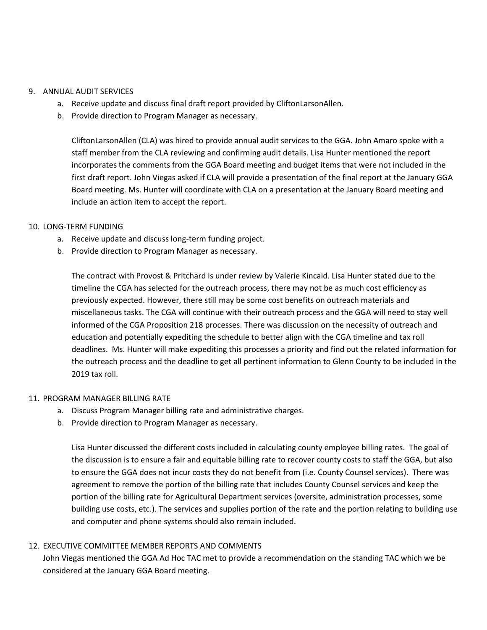#### 9. ANNUAL AUDIT SERVICES

- a. Receive update and discuss final draft report provided by CliftonLarsonAllen.
- b. Provide direction to Program Manager as necessary.

CliftonLarsonAllen (CLA) was hired to provide annual audit services to the GGA. John Amaro spoke with a staff member from the CLA reviewing and confirming audit details. Lisa Hunter mentioned the report incorporates the comments from the GGA Board meeting and budget items that were not included in the first draft report. John Viegas asked if CLA will provide a presentation of the final report at the January GGA Board meeting. Ms. Hunter will coordinate with CLA on a presentation at the January Board meeting and include an action item to accept the report.

# 10. LONG-TERM FUNDING

- a. Receive update and discuss long-term funding project.
- b. Provide direction to Program Manager as necessary.

The contract with Provost & Pritchard is under review by Valerie Kincaid. Lisa Hunter stated due to the timeline the CGA has selected for the outreach process, there may not be as much cost efficiency as previously expected. However, there still may be some cost benefits on outreach materials and miscellaneous tasks. The CGA will continue with their outreach process and the GGA will need to stay well informed of the CGA Proposition 218 processes. There was discussion on the necessity of outreach and education and potentially expediting the schedule to better align with the CGA timeline and tax roll deadlines. Ms. Hunter will make expediting this processes a priority and find out the related information for the outreach process and the deadline to get all pertinent information to Glenn County to be included in the 2019 tax roll.

# 11. PROGRAM MANAGER BILLING RATE

- a. Discuss Program Manager billing rate and administrative charges.
- b. Provide direction to Program Manager as necessary.

Lisa Hunter discussed the different costs included in calculating county employee billing rates. The goal of the discussion is to ensure a fair and equitable billing rate to recover county costs to staff the GGA, but also to ensure the GGA does not incur costs they do not benefit from (i.e. County Counsel services). There was agreement to remove the portion of the billing rate that includes County Counsel services and keep the portion of the billing rate for Agricultural Department services (oversite, administration processes, some building use costs, etc.). The services and supplies portion of the rate and the portion relating to building use and computer and phone systems should also remain included.

# 12. EXECUTIVE COMMITTEE MEMBER REPORTS AND COMMENTS

John Viegas mentioned the GGA Ad Hoc TAC met to provide a recommendation on the standing TAC which we be considered at the January GGA Board meeting.